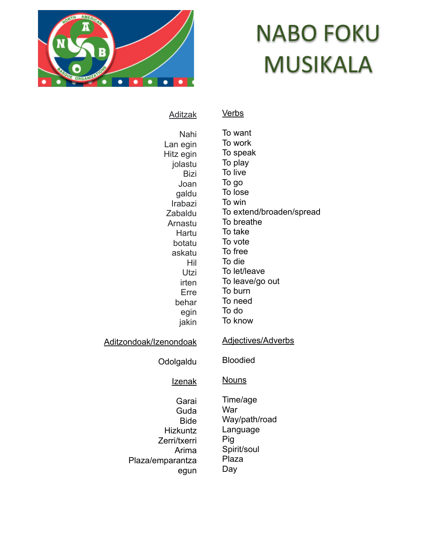

# NABO FOKU MUSIKALA

Aditzak

**Verbs** 

Nahi Lan egin Hitz egin jolastu Bizi Joan galdu Irabazi Zabaldu Arnastu Hartu botatu askatu Hil Utzi irten Erre behar egin jakin Aditzondoak/Izenondoak Odolgaldu Izenak Garai **Guda** Bide Hizkuntz Zerri/txerri Arima Plaza/emparantza egun To want To work To speak To play To live To go To lose To win To extend/broaden/spread To breathe To take To vote To free To die To let/leave To leave/go out To burn To need To do To know Adjectives/Adverbs Bloodied **Nouns** Time/age **War** Way/path/road Language Pig Spirit/soul Plaza Day